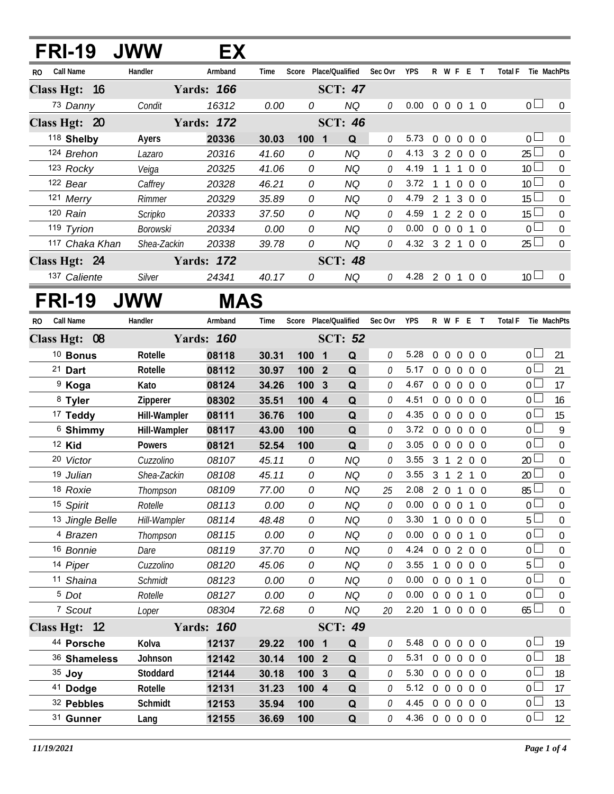|     | <b>FRI-19</b>                 | <b>JWW</b>          | EX                |                |                |                              |         |                                  |                |                   |                |                |                |                                  |                                  |
|-----|-------------------------------|---------------------|-------------------|----------------|----------------|------------------------------|---------|----------------------------------|----------------|-------------------|----------------|----------------|----------------|----------------------------------|----------------------------------|
| RO. | Call Name                     | Handler             | Armband           | Time           |                | Score Place/Qualified        | Sec Ovr | <b>YPS</b>                       |                | R W F E T         |                |                |                | <b>Total F</b>                   | Tie MachPts                      |
|     | Class Hgt: 16                 |                     | <b>Yards: 166</b> |                |                | <b>SCT: 47</b>               |         |                                  |                |                   |                |                |                |                                  |                                  |
|     | 73 Danny                      | Condit              | 16312             | 0.00           | 0              | NQ                           | 0       | 0.00                             |                | 0 0 0 1           |                |                | $\overline{0}$ | 0 <sub>0</sub>                   | 0                                |
|     | Class Hgt: 20                 |                     | <b>Yards: 172</b> |                |                | <b>SCT: 46</b>               |         |                                  |                |                   |                |                |                |                                  |                                  |
|     | 118 Shelby                    | Ayers               | 20336             | 30.03          | 100 1          | Q                            | 0       | 5.73                             | $\overline{0}$ | $\overline{0}$    | $\overline{0}$ | $0\quad 0$     |                | 0 <sub>0</sub>                   | $\Omega$                         |
|     | 124 Brehon                    | Lazaro              | 20316             | 41.60          | 0              | <b>NQ</b>                    | 0       | 4.13                             | 3              | $2\quad0$         |                | $0\quad 0$     |                | $25 \Box$                        | $\mathbf 0$                      |
|     | 123 Rocky                     | Veiga               | 20325             | 41.06          | 0              | <b>NQ</b>                    | 0       | 4.19                             | $1\quad1$      |                   | $\overline{1}$ | $0\quad 0$     |                | 10 <sup>1</sup>                  | $\mathbf 0$                      |
|     | 122 Bear                      | Caffrey             | 20328             | 46.21          | 0              | <b>NQ</b>                    | 0       | 3.72                             | $\mathbf{1}$   | $1\quad0$         |                | 0 <sub>0</sub> |                | 10 <sup>L</sup>                  | $\mathbf 0$                      |
|     | 121 Merry                     | Rimmer              | 20329             | 35.89          | 0              | <b>NQ</b>                    | 0       | 4.79                             | 2 <sub>1</sub> |                   | 3              | $0\quad 0$     |                | 15                               | 0                                |
|     | 120 Rain                      | Scripko             | 20333             | 37.50          | 0              | <b>NQ</b>                    | 0       | 4.59                             | 1              | 2200              |                |                |                | $15\square$                      | $\boldsymbol{0}$                 |
|     | 119 Tyrion                    | <b>Borowski</b>     | 20334             | 0.00           | 0              | NQ                           | 0       | 0.00                             | $\overline{0}$ | $\overline{0}$    | $\overline{0}$ | $1\quad$ 0     |                | $\overline{0}$                   | 0                                |
|     | 117 Chaka Khan                | Shea-Zackin         | 20338             | 39.78          | 0              | NQ                           | 0       | 4.32 3 2 1 0 0                   |                |                   |                |                |                | $25 \Box$                        | $\overline{0}$                   |
|     | Class Hgt: 24                 |                     | <b>Yards: 172</b> |                |                | <b>SCT: 48</b>               |         |                                  |                |                   |                |                |                |                                  |                                  |
|     | 137 Caliente                  | Silver              | 24341             | 40.17          | 0              | NQ                           | 0       | 4.28 2 0 1 0 0                   |                |                   |                |                |                | 10 <sup>1</sup>                  | $\Omega$                         |
|     | <b>FRI-19</b>                 | <b>JWW</b>          | <b>MAS</b>        |                |                |                              |         |                                  |                |                   |                |                |                |                                  |                                  |
| RO. | <b>Call Name</b>              | Handler             | Armband           | Time           |                | Score Place/Qualified        | Sec Ovr | <b>YPS</b>                       |                | R W F E T         |                |                |                | Total F Tie MachPts              |                                  |
|     | Class Hgt: 08                 |                     | <b>Yards: 160</b> |                |                | <b>SCT: 52</b>               |         |                                  |                |                   |                |                |                |                                  |                                  |
|     | <sup>10</sup> Bonus           | Rotelle             | 08118             | 30.31          | 100            | Q<br>$\overline{\mathbf{1}}$ | 0       | 5.28                             | $\Omega$       | $\overline{0}$    | $\overline{0}$ | $0\quad 0$     |                | $\overline{0}$                   | 21                               |
|     | $21$ Dart                     | Rotelle             | 08112             | 30.97          | 100 2          | Q                            | 0       | 5.17                             | $\overline{0}$ | $\overline{0}$    | $\overline{0}$ | $0\quad 0$     |                | 0 <sub>0</sub>                   | 21                               |
|     | <sup>9</sup> Koga             | Kato                | 08124             | 34.26          | 100            | $\mathbf{3}$<br>Q            | 0       | 4.67                             |                | $0\quad 0$        | $\overline{0}$ | $0\quad 0$     |                | 0 l                              | 17                               |
|     | 8 Tyler                       | Zipperer            | 08302             | 35.51          | 100 4          | Q                            | 0       | 4.51                             |                | $0\quad 0$        | $\overline{0}$ | 0 <sub>0</sub> |                | $0-$                             | 16                               |
|     | <sup>17</sup> Teddy           | Hill-Wampler        | 08111             | 36.76          | 100            | Q                            | 0       | 4.35                             | $\overline{0}$ | $\overline{0}$    | $\overline{0}$ | $0\quad 0$     |                | $\overline{0}$                   | 15                               |
|     | <sup>6</sup> Shimmy           | Hill-Wampler        | 08117             | 43.00          | 100            | Q                            | 0       | 3.72                             | $\overline{0}$ | $\overline{0}$    | $\overline{0}$ | $0\quad 0$     |                | 0 <sup>1</sup>                   | 9                                |
|     | 12 Kid                        | <b>Powers</b>       | 08121             | 52.54          | 100            | Q                            | 0       | 3.05                             | $\overline{0}$ | $\mathbf 0$       | $\overline{0}$ | $\overline{0}$ | $\overline{0}$ | $\overline{0}$                   | 0                                |
|     | 20 Victor                     | Cuzzolino           | 08107             | 45.11          | 0              | <b>NQ</b>                    | 0       | 3.55                             | 3              | $\mathbf{1}$      | 2              | 0 <sub>0</sub> |                | $20$ $\Box$                      | $\boldsymbol{0}$                 |
|     | 19 Julian                     | Shea-Zackin         | 08108             | 45.11          | 0              | <b>NQ</b>                    | 0       | 3.55                             | 3 1 2 1        |                   |                |                | $\overline{0}$ | 20                               | $\mathbf 0$                      |
|     | 18 Roxie                      | Thompson            | 08109             | 77.00          | 0              | NQ                           | 25      | 2.08                             |                | 201               |                | $0\quad 0$     |                | 85                               | 0                                |
|     | 15 Spirit                     | Rotelle             | 08113             | 0.00           | 0              | NQ                           | 0       | 0.00                             |                | $0\quad 0\quad 0$ |                | $1\quad0$      |                | 0 <sup>1</sup>                   | $\boldsymbol{0}$                 |
|     | 13 Jingle Belle               | Hill-Wampler        | 08114             | 48.48          | 0              | NQ                           | 0       | $3.30 \quad 1$                   |                | 0 0 0 0           |                |                |                | 5 <sub>1</sub>                   | $\boldsymbol{0}$                 |
|     | 4 Brazen                      | Thompson            | 08115             | 0.00           | 0              | NQ                           | 0       | 0.00                             |                | 0 0 0 1 0         |                |                |                | 0 <sub>0</sub>                   | 0                                |
|     | 16 Bonnie                     | Dare                | 08119             | 37.70          | 0              | NQ                           | 0       | 4.24 0 0 2 0 0                   |                |                   |                |                |                | $\overline{0}$                   | $\boldsymbol{0}$                 |
|     | 14 Piper                      | Cuzzolino           | 08120             | 45.06          | 0              | NQ                           | 0       | 3.55                             |                | 1 0 0 0 0         |                |                |                | $5+$<br>$\overline{0}$           | $\overline{0}$                   |
|     | 11 Shaina<br><sup>5</sup> Dot | Schmidt             | 08123             | 0.00           | 0              | NQ                           | 0<br>0  | $0.00 \t0 \t0 \t0 \t1 \t0$       |                | 0 0 0 1 0         |                |                |                | $0-$                             | $\mathbf 0$                      |
|     | 7 Scout                       | Rotelle             | 08127<br>08304    | 0.00<br>72.68  | 0<br>0         | NQ<br>NQ                     | 20      | 0.00<br>2.20 1 0 0 0 0           |                |                   |                |                |                | $65\Box$                         | $\overline{0}$<br>$\overline{0}$ |
|     |                               | Loper               |                   |                |                |                              |         |                                  |                |                   |                |                |                |                                  |                                  |
|     | Class Hgt: 12                 |                     | <b>Yards: 160</b> |                |                | <b>SCT: 49</b>               |         |                                  |                |                   |                |                |                |                                  |                                  |
|     | 44 Porsche                    | Kolva               | 12137             | 29.22          | 100 1          | Q                            | 0       | 5.48 0 0 0 0 0                   |                |                   |                |                |                | 0 L                              | 19                               |
|     | 36 Shameless                  | Johnson             | 12142             | 30.14          | 100 2          | Q                            | 0       | 5.31 0 0 0 0 0<br>5.30 0 0 0 0 0 |                |                   |                |                |                | 0 <sub>0</sub><br>0 <sup>1</sup> | 18                               |
|     | $35$ Joy<br>41 Dodge          | Stoddard<br>Rotelle | 12144<br>12131    | 30.18          | 100 3<br>100 4 | Q<br>Q                       | 0<br>0  | 5.12 0 0 0 0 0                   |                |                   |                |                |                | $0-$                             | 18<br>17                         |
|     | 32 Pebbles                    | Schmidt             | 12153             | 31.23<br>35.94 | 100            | Q                            | 0       | 4.45 0 0 0 0 0                   |                |                   |                |                |                | 0 <sub>0</sub>                   | 13                               |
|     | 31 Gunner                     | Lang                | 12155             | 36.69          | 100            | $\mathbf Q$                  | 0       | 4.36 0 0 0 0 0                   |                |                   |                |                |                | 0 <sub>0</sub>                   | 12                               |
|     |                               |                     |                   |                |                |                              |         |                                  |                |                   |                |                |                |                                  |                                  |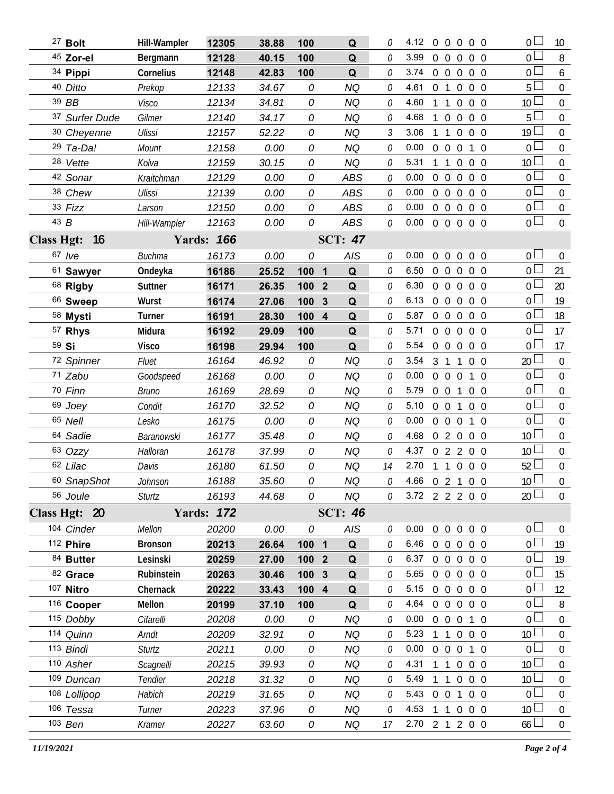|                   | <sup>27</sup> Bolt  | Hill-Wampler   | 12305             | 38.88 | 100   | Q                 | 0        | 4.12           |                | $0\quad 0\quad 0\quad 0\quad 0$  |                   |            | 0 L             | 10             |
|-------------------|---------------------|----------------|-------------------|-------|-------|-------------------|----------|----------------|----------------|----------------------------------|-------------------|------------|-----------------|----------------|
|                   | 45 Zor-el           | Bergmann       | 12128             | 40.15 | 100   | Q                 | 0        | 3.99           |                | $0\quad 0\quad 0$                |                   | $0\quad 0$ | $_0$ $\square$  | 8              |
|                   | 34 Pippi            | Cornelius      | 12148             | 42.83 | 100   | Q                 | 0        | 3.74           |                | $0\quad 0\quad 0$                |                   | $0\quad 0$ | $0\Box$         | 6              |
|                   | 40 Ditto            | Prekop         | 12133             | 34.67 | 0     | <b>NQ</b>         | 0        | 4.61           | 0 <sub>1</sub> | $\overline{0}$                   |                   | $0\quad 0$ | 5 <sub>1</sub>  | $\overline{0}$ |
|                   | 39 BB               | Visco          | 12134             | 34.81 | 0     | <b>NQ</b>         | 0        | 4.60           | 1 1            | $\overline{0}$                   |                   | $0\quad 0$ | $10\Box$        | $\Omega$       |
|                   | 37 Surfer Dude      | Gilmer         | 12140             | 34.17 | 0     | <b>NQ</b>         | 0        | 4.68           | $\mathbf{1}$   | $\overline{0}$<br>$\overline{0}$ |                   | $0\quad 0$ | $5+$            | $\mathbf 0$    |
|                   | 30 Cheyenne         | Ulissi         | 12157             | 52.22 | 0     | <b>NQ</b>         | 3        | 3.06           | $1\quad1$      | $\overline{0}$                   |                   | $0\quad 0$ | 19 <sup>L</sup> | 0              |
|                   | 29 Ta-Da!           | Mount          | 12158             | 0.00  | 0     | <b>NQ</b>         | 0        | 0.00           |                | $0\quad 0\quad 0$                |                   | $1\quad$ 0 | $0-$            | $\mathbf 0$    |
|                   | 28 Vette            | Kolva          | 12159             | 30.15 | 0     | <b>NQ</b>         | 0        | 5.31           | 1 1            | $\overline{0}$                   |                   | $0\quad 0$ | $10\Box$        | $\overline{0}$ |
|                   | 42 Sonar            | Kraitchman     | 12129             | 0.00  | 0     | <b>ABS</b>        | 0        | 0.00           |                | $0\quad 0$<br>$\overline{0}$     |                   | $0\quad 0$ | $0-$            | 0              |
|                   | 38 Chew             | Ulissi         | 12139             | 0.00  | 0     | <b>ABS</b>        | 0        | 0.00           |                | $0\quad 0$<br>$\overline{0}$     |                   | $0\quad 0$ | $0\Box$         | $\overline{0}$ |
|                   | 33 Fizz             | Larson         | 12150             | 0.00  | 0     | <b>ABS</b>        | 0        | 0.00           |                | $0\quad 0\quad 0$                |                   | $0\quad 0$ | $\overline{0}$  | $\overline{0}$ |
| 43 B              |                     | Hill-Wampler   | 12163             | 0.00  | 0     | ABS               | 0        | 0.00           |                | 0 0 0 0 0                        |                   |            | $\overline{0}$  | $\mathbf 0$    |
| <b>Class Hgt:</b> | - 16                |                | <b>Yards: 166</b> |       |       | <b>SCT: 47</b>    |          |                |                |                                  |                   |            |                 |                |
|                   | 67 /ve              | <b>Buchma</b>  | 16173             | 0.00  | 0     | AIS               | 0        | 0.00           | $0\quad 0$     | $\overline{0}$                   |                   | $0\quad 0$ | 0 <sup>1</sup>  | $\mathbf 0$    |
|                   | 61 Sawyer           | Ondeyka        | 16186             | 25.52 | 100   | $\mathbf 1$<br>Q  | 0        | 6.50           |                | $0\quad 0$<br>$\overline{0}$     |                   | $0\quad 0$ | $\overline{0}$  | 21             |
|                   | 68 Rigby            | Suttner        | 16171             | 26.35 | 100   | Q<br>$\mathbf{2}$ | 0        | 6.30           |                | $0\quad 0\quad 0$                |                   | $0\quad 0$ | $\overline{0}$  | 20             |
|                   | <sup>66</sup> Sweep | Wurst          | 16174             | 27.06 | 100   | 3<br>Q            | 0        | 6.13           |                | $0\quad 0$<br>$\overline{0}$     |                   | $0\quad 0$ | $\overline{0}$  | 19             |
|                   | 58 Mysti            | Turner         | 16191             | 28.30 | 100 4 | Q                 | 0        | 5.87           |                | $0\quad 0\quad 0$                |                   | $0\quad 0$ | $\overline{0}$  | 18             |
|                   | 57 Rhys             | Midura         | 16192             | 29.09 | 100   | Q                 | 0        | 5.71           |                | $0\quad 0$<br>$\overline{0}$     |                   | $0\quad 0$ | 0 <sup>2</sup>  | 17             |
|                   | 59 Si               | <b>Visco</b>   | 16198             | 29.94 | 100   | Q                 | 0        | 5.54           |                | $0\quad 0$<br>$\overline{0}$     |                   | $0\quad 0$ | 0 <sup>1</sup>  | 17             |
|                   | 72 Spinner          | Fluet          | 16164             | 46.92 | 0     | NQ                | 0        | 3.54           | 3 <sub>1</sub> | 1                                |                   | $0\quad 0$ | 20 <sup>2</sup> | 0              |
|                   | 71 Zabu             | Goodspeed      | 16168             | 0.00  | 0     | <b>NQ</b>         | 0        | 0.00           |                | $0\quad 0\quad 0$                |                   | $1\quad0$  | $0 -$           | $\mathbf 0$    |
|                   | 70 Finn             | Bruno          | 16169             | 28.69 | 0     | NQ                | 0        | 5.79           |                | $0\quad 0$<br>1                  |                   | $0\quad 0$ | $\overline{0}$  | 0              |
|                   | 69 Joey             | Condit         | 16170             | 32.52 | 0     | <b>NQ</b>         | 0        | 5.10           |                | $0\quad 0$<br>$\mathbf{1}$       |                   | $0\quad 0$ | $\overline{0}$  | $\mathbf 0$    |
|                   | 65 Nell             | Lesko          | 16175             | 0.00  | 0     | NQ                | 0        | 0.00           |                | $0\quad 0\quad 0$                |                   | $1\quad0$  | $\overline{0}$  | 0              |
|                   | 64 Sadie            | Baranowski     | 16177             | 35.48 | 0     | <b>NQ</b>         | 0        | 4.68           |                | 020                              |                   | $0\quad 0$ | 10 <sup>1</sup> | $\mathbf 0$    |
|                   | 63 Ozzy             | Halloran       | 16178             | 37.99 | 0     | <b>NQ</b>         | 0        | 4.37           |                | 0 2 2 0 0                        |                   |            | $10\Box$        | $\overline{0}$ |
|                   | 62 Lilac            | Davis          | 16180             | 61.50 | 0     | <b>NQ</b>         | 14       | 2.70           | $1\quad1$      | $\overline{0}$                   |                   | $0\quad 0$ | $52 \perp$      | $\mathbf 0$    |
|                   | 60 SnapShot         | Johnson        | 16188             | 35.60 | 0     | <b>NQ</b>         | 0        | 4.66 0 2 1 0 0 |                |                                  |                   |            | 10 <sup>2</sup> | $\Omega$       |
|                   | 56 Joule            | Sturtz         | 16193             | 44.68 | 0     | NQ                | 0        | 3.72 2 2 2 0 0 |                |                                  |                   |            | 20 <sup>2</sup> | $\overline{0}$ |
|                   | Class Hgt: 20       |                | <b>Yards: 172</b> |       |       | <b>SCT: 46</b>    |          |                |                |                                  |                   |            |                 |                |
|                   | 104 Cinder          | Mellon         | 20200             | 0.00  | 0     | AIS               | 0        | 0.00           |                | 0 0 0 0 0                        |                   |            | $0\square$      | $\overline{0}$ |
|                   | 112 Phire           | <b>Bronson</b> | 20213             | 26.64 | 100 1 | $\mathbf Q$       | $\theta$ | 6.46           |                | 0 0 0 0 0                        |                   |            | 0 <sub>0</sub>  | 19             |
|                   | 84 Butter           | Lesinski       | 20259             | 27.00 | 100 2 | Q                 | $\theta$ | 6.37           |                | 00000                            |                   |            | 0 <sub>0</sub>  | 19             |
|                   | 82 Grace            | Rubinstein     | 20263             | 30.46 | 100 3 | Q                 | 0        | 5.65           |                | 0 0 0 0 0                        |                   |            | $0-$            | 15             |
|                   | 107 Nitro           | Chernack       | 20222             | 33.43 | 100 4 | Q                 | 0        | 5.15           |                | $0\quad 0\quad 0\quad 0\quad 0$  |                   |            | 0 <sub>0</sub>  | 12             |
|                   | 116 Cooper          | Mellon         | 20199             | 37.10 | 100   | Q                 | $\theta$ | 4.64           |                | 0 0 0 0 0                        |                   |            | 0 <sup>1</sup>  | 8              |
|                   | 115 Dobby           | Cifarelli      | 20208             | 0.00  | 0     | ΝQ                | 0        | 0.00           |                | 0 0 0 1 0                        |                   |            | 0 <sub>0</sub>  | 0              |
|                   | 114 Quinn           | Arndt          | 20209             | 32.91 | 0     | <b>NQ</b>         | 0        | 5.23           |                | 1 1 0 0 0                        |                   |            | 10 <sup>L</sup> | $\Omega$       |
|                   | 113 Bindi           | Sturtz         | 20211             | 0.00  | 0     | <b>NQ</b>         | 0        | 0.00           |                | 0 0 0 1 0                        |                   |            | 0 <sup>1</sup>  | 0              |
|                   | 110 Asher           | Scagnelli      | 20215             | 39.93 | 0     | <b>NQ</b>         | 0        | 4.31           |                | $1\quad1$                        | $0\quad 0\quad 0$ |            | $10\Box$        | $\theta$       |
|                   | 109 Duncan          | Tendler        | 20218             | 31.32 | 0     | NQ                | 0        | 5.49           |                | 1 1 0 0 0                        |                   |            | 10 <sup>1</sup> | $\overline{0}$ |
|                   | 108 Lollipop        | Habich         | 20219             | 31.65 | 0     | NQ                | $\theta$ | 5.43           |                | 0 0 1 0 0                        |                   |            | 0 <sup>1</sup>  | 0              |
|                   | 106 Tessa           | Turner         | 20223             | 37.96 | 0     | <b>NQ</b>         | 0        | 4.53           |                | 1 1 0 0 0                        |                   |            | 10 <sup>L</sup> | $\overline{0}$ |
|                   | 103 Ben             | Kramer         | 20227             | 63.60 | 0     | <b>NQ</b>         | 17       | 2.70 2 1 2 0 0 |                |                                  |                   |            | $66 \Box$       | $\mathbf 0$    |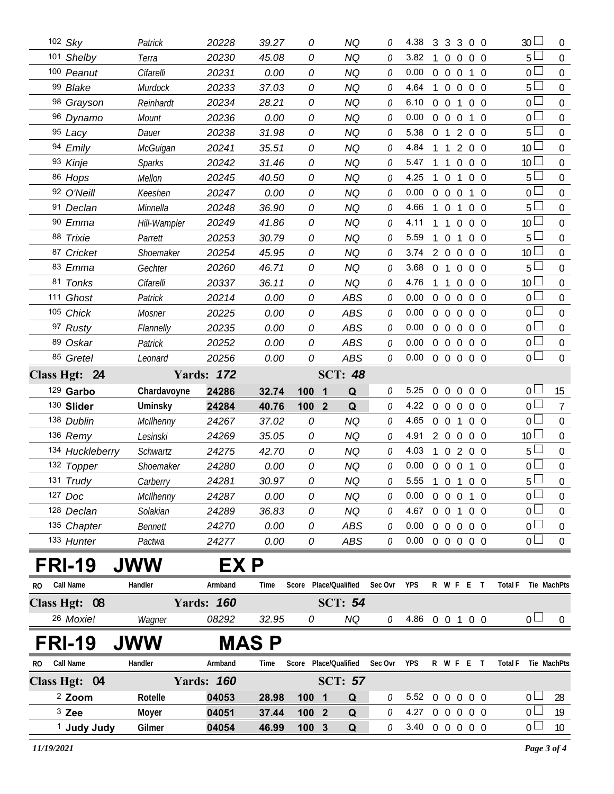|     | 102 Sky                | Patrick         | 20228             | 39.27 | 0                              | <b>NQ</b>      | 0        | 4.38                       |                | 3 3 3          |                   | $0\quad 0$     |          |                | 30 <sup>1</sup> | $\overline{0}$   |
|-----|------------------------|-----------------|-------------------|-------|--------------------------------|----------------|----------|----------------------------|----------------|----------------|-------------------|----------------|----------|----------------|-----------------|------------------|
|     | 101 Shelby             | Terra           | 20230             | 45.08 | 0                              | <b>NQ</b>      | 0        | 3.82                       | $\mathbf{1}$   | $\overline{0}$ | $\overline{0}$    | $0\quad 0$     |          |                | $5\perp$        | $\overline{0}$   |
|     | 100 Peanut             | Cifarelli       | 20231             | 0.00  | 0                              | NQ             | 0        | 0.00                       |                | $0\quad 0$     | $\overline{0}$    | 1              | $\Omega$ |                | 0 L             | $\boldsymbol{0}$ |
|     | 99 Blake               | Murdock         | 20233             | 37.03 | 0                              | NQ             | 0        | 4.64                       | $\mathbf{1}$   | $\overline{0}$ | $\mathbf 0$       | 0 <sub>0</sub> |          |                | $5\perp$        | $\overline{0}$   |
|     | 98 Grayson             | Reinhardt       | 20234             | 28.21 | 0                              | NQ             | 0        | 6.10                       | $0\quad 0$     |                | 1                 | $0\quad 0$     |          |                | 0 <sup>L</sup>  | $\boldsymbol{0}$ |
|     | 96 Dynamo              | Mount           | 20236             | 0.00  | 0                              | <b>NQ</b>      | 0        | 0.00                       |                | $0\quad 0$     | $\overline{0}$    | 1              | $\Omega$ |                | 0 <sup>1</sup>  | $\boldsymbol{0}$ |
|     | 95 Lacy                | Dauer           | 20238             | 31.98 | 0                              | <b>NQ</b>      | 0        | 5.38                       | 0 <sub>1</sub> |                | 2                 | $0\quad 0$     |          |                | 5 <sup>1</sup>  | $\boldsymbol{0}$ |
|     | 94 Emily               | <b>McGuigan</b> | 20241             | 35.51 | 0                              | <b>NQ</b>      | 0        | 4.84                       |                | $\mathbf{1}$   | 2                 | $0\quad 0$     |          |                | 10 <sup>L</sup> | $\mathbf 0$      |
|     | 93 Kinje               | Sparks          | 20242             | 31.46 | 0                              | <b>NQ</b>      | 0        | 5.47                       |                | $1\quad1$      | $\overline{0}$    | $0\quad 0$     |          |                | 10 <sup>L</sup> | $\overline{0}$   |
|     | 86 Hops                | Mellon          | 20245             | 40.50 | 0                              | <b>NQ</b>      | 0        | 4.25                       | 1              | $\overline{0}$ | $\mathbf{1}$      | $0\quad 0$     |          |                | 5 <sub>1</sub>  | $\mathbf 0$      |
|     | 92 O'Neill             | Keeshen         | 20247             | 0.00  | 0                              | <b>NQ</b>      | 0        | 0.00                       |                | $0\quad 0$     | $\mathbf 0$       | $1\quad0$      |          |                | 0 <sup>L</sup>  | $\boldsymbol{0}$ |
|     | 91 Declan              | Minnella        | 20248             | 36.90 | 0                              | <b>NQ</b>      | 0        | 4.66                       |                | $1\quad0$      | $\mathbf{1}$      | $0\quad 0$     |          |                | $5\perp$        | $\mathbf 0$      |
|     | 90 Emma                | Hill-Wampler    | 20249             | 41.86 | 0                              | <b>NQ</b>      | 0        | 4.11                       |                | $1\quad1$      | $\overline{0}$    | $0\quad 0$     |          |                | 10 <sup>L</sup> | $\overline{0}$   |
|     | 88 Trixie              | Parrett         | 20253             | 30.79 | 0                              | <b>NQ</b>      | 0        | 5.59                       | $\mathbf{1}$   | $\overline{0}$ | $\mathbf{1}$      | $0\quad 0$     |          |                | $5\perp$        | $\mathbf 0$      |
|     | 87 Cricket             | Shoemaker       | 20254             | 45.95 | 0                              | <b>NQ</b>      | 0        | 3.74                       |                | $2\quad 0$     | $\mathbf 0$       | $0\quad 0$     |          |                | 10 <sup>L</sup> | $\boldsymbol{0}$ |
|     | 83 Emma                | Gechter         | 20260             | 46.71 | 0                              | <b>NQ</b>      | 0        | 3.68                       | 0 <sub>1</sub> |                | $\overline{0}$    | $0\quad 0$     |          |                | 5 <sub>1</sub>  | $\mathbf 0$      |
|     | 81 Tonks               | Cifarelli       | 20337             | 36.11 | 0                              | <b>NQ</b>      | 0        | 4.76                       | $1\quad1$      |                | $\overline{0}$    | $0\quad 0$     |          |                | 10 <sup>L</sup> | $\overline{0}$   |
|     | 111 Ghost              | Patrick         | 20214             | 0.00  | 0                              | <b>ABS</b>     | 0        | 0.00                       |                | $0\quad 0$     | $\overline{0}$    | $0\quad 0$     |          |                | $0-$            | $\mathbf 0$      |
|     | 105 Chick              | Mosner          | 20225             | 0.00  | 0                              | <b>ABS</b>     | 0        | 0.00                       |                | $0\quad 0$     | $\overline{0}$    | $0\quad 0$     |          |                | 0 <sub>0</sub>  | $\boldsymbol{0}$ |
|     | 97 Rusty               | Flannelly       | 20235             | 0.00  | 0                              | <b>ABS</b>     | 0        | 0.00                       |                | $0\quad 0$     | $\mathbf 0$       | $0\quad 0$     |          |                | 0 <sup>1</sup>  | $\mathbf 0$      |
|     | 89 Oskar               | Patrick         | 20252             | 0.00  | 0                              | ABS            | 0        | 0.00                       |                | $0\quad 0$     | $\overline{0}$    | $0\quad 0$     |          |                | 0 <sub>0</sub>  | $\boldsymbol{0}$ |
|     | 85 Gretel              | Leonard         | 20256             | 0.00  | 0                              | ABS            | 0        | 0.00                       |                | $0\quad 0$     | $0\quad 0\quad 0$ |                |          |                | 0 <sup>1</sup>  | $\overline{0}$   |
|     | Class Hgt: 24          |                 | <b>Yards: 172</b> |       |                                | <b>SCT: 48</b> |          |                            |                |                |                   |                |          |                |                 |                  |
|     | 129 Garbo              | Chardavoyne     | 24286             | 32.74 | 100<br>$\overline{\mathbf{1}}$ | Q              | 0        | 5.25                       |                |                | 0 0 0 0 0         |                |          |                | 0 <sub>1</sub>  | 15               |
|     | 130 Slider             | Uminsky         | 24284             | 40.76 | 100 2                          | Q              | 0        | 4.22                       |                | $0\quad 0$     | $\overline{0}$    | $0\quad 0$     |          |                | 0 <sup>1</sup>  | $7\overline{ }$  |
|     | 138 Dublin             | McIlhenny       | 24267             | 37.02 | 0                              | <b>NQ</b>      | 0        | 4.65                       |                | $0\quad 0$     | $\mathbf{1}$      | $0\quad 0$     |          |                | 0 <sub>0</sub>  | $\overline{0}$   |
|     | 136 Remy               | Lesinski        | 24269             | 35.05 | 0                              | <b>NQ</b>      | 0        | 4.91                       |                | $2\quad 0$     | $\overline{0}$    | $0\quad 0$     |          |                | 10 <sup>1</sup> | $\overline{0}$   |
|     | 134 Huckleberry        | Schwartz        | 24275             | 42.70 | 0                              | <b>NQ</b>      | 0        | 4.03                       |                |                | 1 0 2 0 0         |                |          |                | $5+$            | $\overline{0}$   |
|     | 132 Topper             | Shoemaker       | 24280             | 0.00  | 0                              | <b>NQ</b>      | $\theta$ | 0.00                       |                |                | 0 0 0 1 0         |                |          |                | 0 <sup>1</sup>  | $\mathbf 0$      |
|     | 131 Trudy              | Carberry        | 24281             | 30.97 | 0                              | NQ             | 0        | 5.55 1 0 1 0 0             |                |                |                   |                |          |                | 5 <sup>L</sup>  | $\boldsymbol{0}$ |
|     | 127 Doc                | McIlhenny       | 24287             | 0.00  | 0                              | NQ             | 0        | 0.00                       |                |                | 0 0 0 1 0         |                |          |                | 0 <sup>1</sup>  | $\overline{0}$   |
|     | 128 Declan             | Solakian        | 24289             | 36.83 | 0                              | <b>NQ</b>      | 0        | 4.67                       |                |                | 0 0 1 0 0         |                |          |                | 0 L             | 0                |
|     | 135 Chapter            | Bennett         | 24270             | 0.00  | 0                              | ABS            | 0        | 0.00                       |                |                | 0 0 0 0 0         |                |          |                | 0 <sub>0</sub>  | $\mathbf 0$      |
|     | 133 Hunter             | Pactwa          | 24277             | 0.00  | 0                              | <b>ABS</b>     | 0        | $0.00 \t0 \t0 \t0 \t0 \t0$ |                |                |                   |                |          |                | 0 <sub>0</sub>  | $\overline{0}$   |
|     | <b>FRI-19</b>          | <b>JWW</b>      | EX P              |       |                                |                |          |                            |                |                |                   |                |          |                |                 |                  |
| RO. | <b>Call Name</b>       | Handler         | Armband           | Time  | Score Place/Qualified          |                | Sec Ovr  | <b>YPS</b>                 |                |                | R W F E T         |                |          | <b>Total F</b> |                 | Tie MachPts      |
|     | Class Hgt: 08          |                 | <b>Yards: 160</b> |       |                                | <b>SCT: 54</b> |          |                            |                |                |                   |                |          |                |                 |                  |
|     | 26 Moxie!              | Wagner          | 08292             | 32.95 | 0                              | <b>NQ</b>      | 0        | 4.86 0 0 1 0 0             |                |                |                   |                |          |                | 0 <sub>0</sub>  | $\overline{0}$   |
|     | <b>FRI-19</b>          |                 |                   | MAS P |                                |                |          |                            |                |                |                   |                |          |                |                 |                  |
| RO. | <b>Call Name</b>       | Handler         | Armband           | Time  | Score Place/Qualified          |                | Sec Ovr  | <b>YPS</b>                 |                |                | R W F E T         |                |          | <b>Total F</b> |                 | Tie MachPts      |
|     | Class Hgt: 04          |                 | <b>Yards: 160</b> |       |                                | <b>SCT: 57</b> |          |                            |                |                |                   |                |          |                |                 |                  |
|     | <sup>2</sup> Zoom      | Rotelle         | 04053             | 28.98 | 100 <sub>1</sub>               | Q              | 0        | 5.52                       |                |                | 0 0 0 0 0         |                |          |                | 0 <sub>1</sub>  | 28               |
|     | $3$ Zee                | Moyer           | 04051             | 37.44 | 100 2                          | $\mathbf Q$    | 0        | 4.27                       |                |                | 0 0 0 0 0         |                |          |                | 0 <sub>0</sub>  | 19               |
|     | <sup>1</sup> Judy Judy | Gilmer          | 04054             | 46.99 | 100 3                          | Q              | 0        | 3.40 0 0 0 0 0             |                |                |                   |                |          |                | 0 <sub>0</sub>  | 10               |